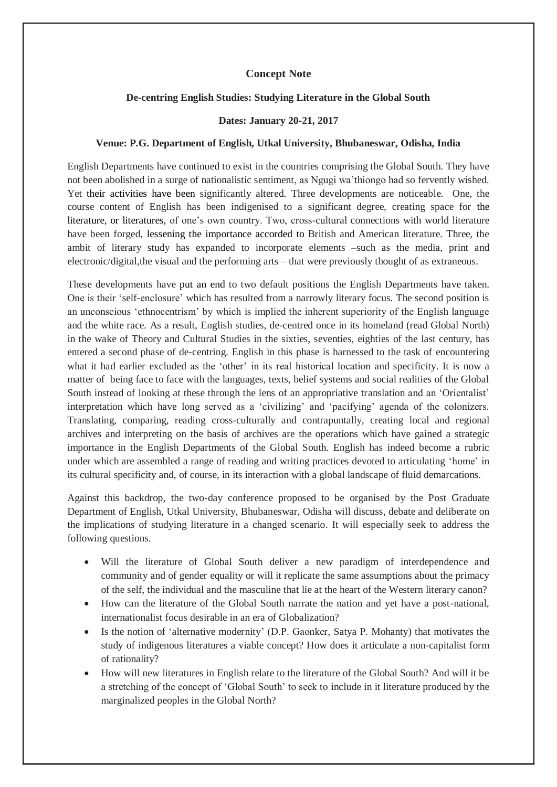## **Concept Note**

## **De-centring English Studies: Studying Literature in the Global South**

## **Dates: January 20-21, 2017**

## **Venue: P.G. Department of English, Utkal University, Bhubaneswar, Odisha, India**

English Departments have continued to exist in the countries comprising the Global South. They have not been abolished in a surge of nationalistic sentiment, as Ngugi wa'thiongo had so fervently wished. Yet their activities have been significantly altered. Three developments are noticeable. One, the course content of English has been indigenised to a significant degree, creating space for the literature, or literatures, of one's own country. Two, cross-cultural connections with world literature have been forged, lessening the importance accorded to British and American literature. Three, the ambit of literary study has expanded to incorporate elements –such as the media, print and electronic/digital,the visual and the performing arts – that were previously thought of as extraneous.

These developments have put an end to two default positions the English Departments have taken. One is their 'self-enclosure' which has resulted from a narrowly literary focus. The second position is an unconscious 'ethnocentrism' by which is implied the inherent superiority of the English language and the white race. As a result, English studies, de-centred once in its homeland (read Global North) in the wake of Theory and Cultural Studies in the sixties, seventies, eighties of the last century, has entered a second phase of de-centring. English in this phase is harnessed to the task of encountering what it had earlier excluded as the 'other' in its real historical location and specificity. It is now a matter of being face to face with the languages, texts, belief systems and social realities of the Global South instead of looking at these through the lens of an appropriative translation and an 'Orientalist' interpretation which have long served as a 'civilizing' and 'pacifying' agenda of the colonizers. Translating, comparing, reading cross-culturally and contrapuntally, creating local and regional archives and interpreting on the basis of archives are the operations which have gained a strategic importance in the English Departments of the Global South. English has indeed become a rubric under which are assembled a range of reading and writing practices devoted to articulating 'home' in its cultural specificity and, of course, in its interaction with a global landscape of fluid demarcations.

Against this backdrop, the two-day conference proposed to be organised by the Post Graduate Department of English, Utkal University, Bhubaneswar, Odisha will discuss, debate and deliberate on the implications of studying literature in a changed scenario. It will especially seek to address the following questions.

- Will the literature of Global South deliver a new paradigm of interdependence and community and of gender equality or will it replicate the same assumptions about the primacy of the self, the individual and the masculine that lie at the heart of the Western literary canon?
- How can the literature of the Global South narrate the nation and yet have a post-national, internationalist focus desirable in an era of Globalization?
- Is the notion of 'alternative modernity' (D.P. Gaonker, Satya P. Mohanty) that motivates the study of indigenous literatures a viable concept? How does it articulate a non-capitalist form of rationality?
- How will new literatures in English relate to the literature of the Global South? And will it be a stretching of the concept of 'Global South' to seek to include in it literature produced by the marginalized peoples in the Global North?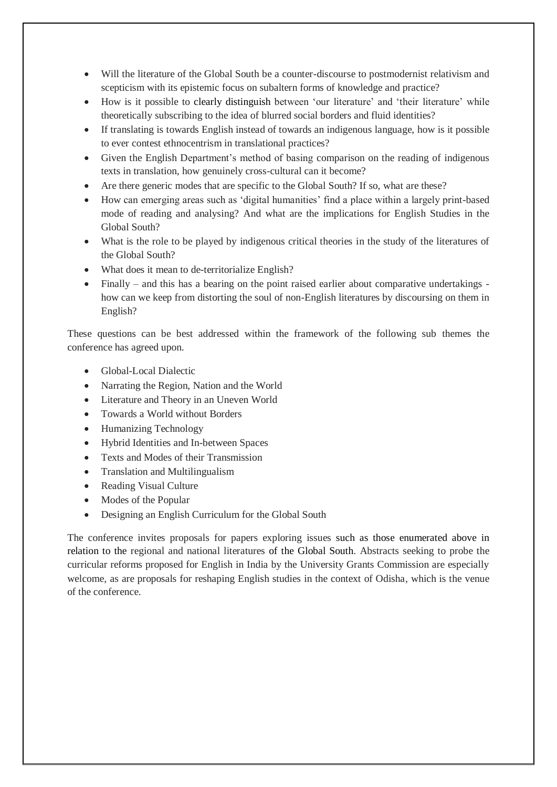- Will the literature of the Global South be a counter-discourse to postmodernist relativism and scepticism with its epistemic focus on subaltern forms of knowledge and practice?
- How is it possible to clearly distinguish between 'our literature' and 'their literature' while theoretically subscribing to the idea of blurred social borders and fluid identities?
- If translating is towards English instead of towards an indigenous language, how is it possible to ever contest ethnocentrism in translational practices?
- Given the English Department's method of basing comparison on the reading of indigenous texts in translation, how genuinely cross-cultural can it become?
- Are there generic modes that are specific to the Global South? If so, what are these?
- How can emerging areas such as 'digital humanities' find a place within a largely print-based mode of reading and analysing? And what are the implications for English Studies in the Global South?
- What is the role to be played by indigenous critical theories in the study of the literatures of the Global South?
- What does it mean to de-territorialize English?
- Finally and this has a bearing on the point raised earlier about comparative undertakings how can we keep from distorting the soul of non-English literatures by discoursing on them in English?

These questions can be best addressed within the framework of the following sub themes the conference has agreed upon.

- Global-Local Dialectic
- Narrating the Region, Nation and the World
- Literature and Theory in an Uneven World
- Towards a World without Borders
- Humanizing Technology
- Hybrid Identities and In-between Spaces
- Texts and Modes of their Transmission
- Translation and Multilingualism
- Reading Visual Culture
- Modes of the Popular
- Designing an English Curriculum for the Global South

The conference invites proposals for papers exploring issues such as those enumerated above in relation to the regional and national literatures of the Global South. Abstracts seeking to probe the curricular reforms proposed for English in India by the University Grants Commission are especially welcome, as are proposals for reshaping English studies in the context of Odisha, which is the venue of the conference.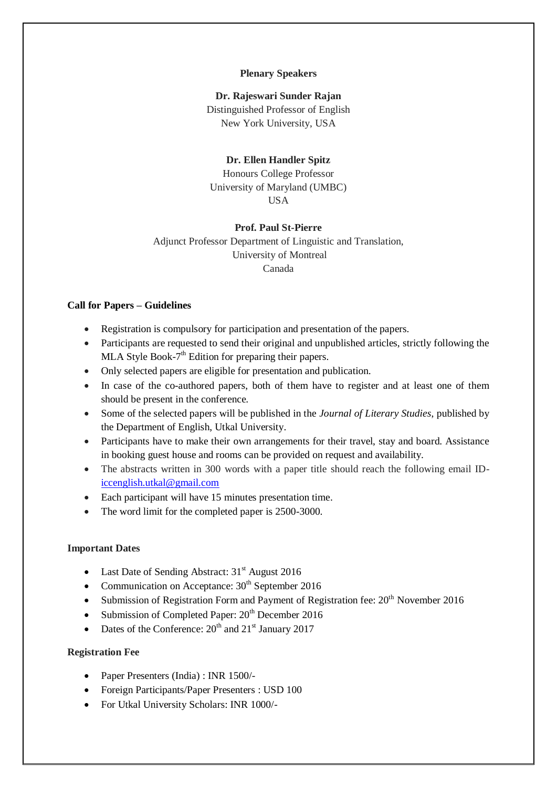#### **Plenary Speakers**

## **Dr. Rajeswari Sunder Rajan**

Distinguished Professor of English New York University, USA

#### **Dr. Ellen Handler Spitz**

Honours College Professor University of Maryland (UMBC) USA

#### **Prof. Paul St-Pierre**

Adjunct Professor Department of Linguistic and Translation, University of Montreal Canada

#### **Call for Papers – Guidelines**

- Registration is compulsory for participation and presentation of the papers.
- Participants are requested to send their original and unpublished articles, strictly following the MLA Style Book- $7<sup>th</sup>$  Edition for preparing their papers.
- Only selected papers are eligible for presentation and publication.
- In case of the co-authored papers, both of them have to register and at least one of them should be present in the conference.
- Some of the selected papers will be published in the *Journal of Literary Studies*, published by the Department of English, Utkal University.
- Participants have to make their own arrangements for their travel, stay and board. Assistance in booking guest house and rooms can be provided on request and availability.
- The abstracts written in 300 words with a paper title should reach the following email ID[iccenglish.utkal@gmail.com](mailto:iccenglish.utkal@gmail.com)
- Each participant will have 15 minutes presentation time.
- The word limit for the completed paper is 2500-3000.

## **Important Dates**

- Last Date of Sending Abstract: 31<sup>st</sup> August 2016
- Communication on Acceptance:  $30<sup>th</sup>$  September 2016
- Submission of Registration Form and Payment of Registration fee:  $20<sup>th</sup>$  November 2016
- Submission of Completed Paper:  $20<sup>th</sup>$  December 2016
- Dates of the Conference:  $20^{th}$  and  $21^{st}$  January 2017

#### **Registration Fee**

- Paper Presenters (India) : INR 1500/-
- Foreign Participants/Paper Presenters : USD 100
- For Utkal University Scholars: INR 1000/-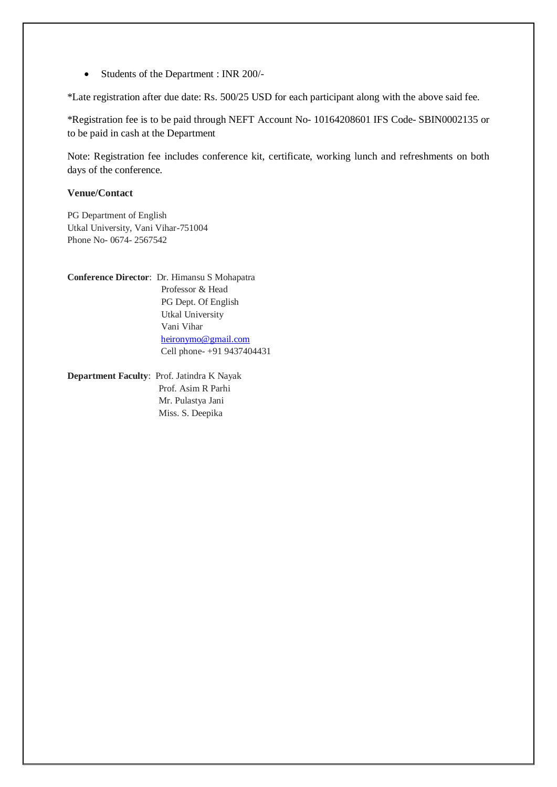Students of the Department : INR 200/-

\*Late registration after due date: Rs. 500/25 USD for each participant along with the above said fee.

\*Registration fee is to be paid through NEFT Account No- 10164208601 IFS Code- [SBIN0002135](https://ifsc.bankifsccode.com/SBIN0002135) or to be paid in cash at the Department

Note: Registration fee includes conference kit, certificate, working lunch and refreshments on both days of the conference.

## **Venue/Contact**

PG Department of English Utkal University, Vani Vihar-751004 Phone No- 0674- 2567542

**Conference Director**: Dr. Himansu S Mohapatra Professor & Head PG Dept. Of English Utkal University Vani Vihar [heironymo@gmail.com](mailto:heironymo@gmail.com) Cell phone- +91 9437404431

**Department Faculty**: Prof. Jatindra K Nayak Prof. Asim R Parhi Mr. Pulastya Jani Miss. S. Deepika